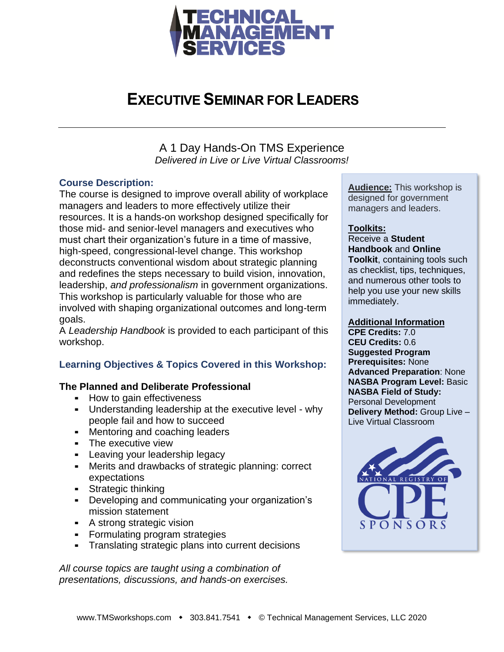

### **EXECUTIVE SEMINAR FOR LEADERS**

A 1 Day Hands-On TMS Experience *Delivered in Live or Live Virtual Classrooms!*

#### **Course Description:**

The course is designed to improve overall ability of workplace managers and leaders to more effectively utilize their resources. It is a hands-on workshop designed specifically for those mid- and senior-level managers and executives who must chart their organization's future in a time of massive, high-speed, congressional-level change. This workshop deconstructs conventional wisdom about strategic planning and redefines the steps necessary to build vision, innovation, leadership, *and professionalism* in government organizations. This workshop is particularly valuable for those who are involved with shaping organizational outcomes and long-term goals.

A *Leadership Handbook* is provided to each participant of this workshop.

### **Learning Objectives & Topics Covered in this Workshop:**

#### **The Planned and Deliberate Professional**

- How to gain effectiveness
- Understanding leadership at the executive level why people fail and how to succeed
- **EXEC** Mentoring and coaching leaders
- **-** The executive view
- **EXEC** Leaving your leadership legacy
- **EXECT:** Merits and drawbacks of strategic planning: correct expectations
- **EXECUTE:** Strategic thinking
- Developing and communicating your organization's mission statement
- A strong strategic vision
- Formulating program strategies
- **EXECT** Translating strategic plans into current decisions

*All course topics are taught using a combination of presentations, discussions, and hands-on exercises.*

**Audience:** This workshop is designed for government managers and leaders.

#### **Toolkits:**

Receive a **Student Handbook** and **Online Toolkit**, containing tools such

as checklist, tips, techniques, and numerous other tools to help you use your new skills immediately.

#### **Additional Information**

**CPE Credits:** 7.0 **CEU Credits:** 0.6 **Suggested Program Prerequisites:** None **Advanced Preparation**: None **NASBA Program Level:** Basic **NASBA Field of Study:** Personal Development **Delivery Method:** Group Live – Live Virtual Classroom